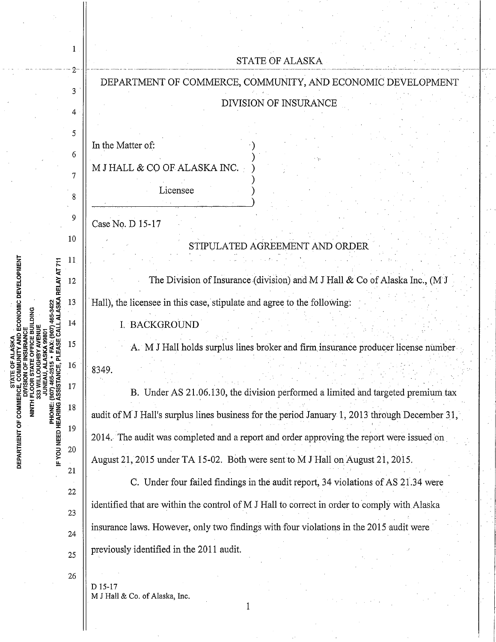|                                                                                                            |                                                             | <b>STATE OF ALASKA</b>                                                                         |
|------------------------------------------------------------------------------------------------------------|-------------------------------------------------------------|------------------------------------------------------------------------------------------------|
| 2<br>3<br>4<br>5<br>6<br>7<br>8<br>9<br>10<br>11<br><b>ISKA RELAY AT 711</b><br>12<br>13                   | DEPARTMENT OF COMMERCE, COMMUNITY, AND ECONOMIC DEVELOPMENT |                                                                                                |
|                                                                                                            |                                                             | DIVISION OF INSURANCE                                                                          |
|                                                                                                            |                                                             |                                                                                                |
|                                                                                                            |                                                             |                                                                                                |
|                                                                                                            |                                                             | In the Matter of:                                                                              |
|                                                                                                            |                                                             | M J HALL & CO OF ALASKA INC.                                                                   |
| CONOMIC DEVELOPMENT<br>(907) 465-<br>ASSISTAI<br>DEPARTMENT OF COMMER<br><b>PHONE:</b><br>PHONE:<br>PHONE: |                                                             | Licensee                                                                                       |
|                                                                                                            |                                                             |                                                                                                |
|                                                                                                            |                                                             | Case No. D 15-17                                                                               |
|                                                                                                            |                                                             | STIPULATED AGREEMENT AND ORDER                                                                 |
|                                                                                                            |                                                             |                                                                                                |
|                                                                                                            |                                                             | The Division of Insurance (division) and M J Hall $\&$ Co of Alaska Inc., (M J                 |
|                                                                                                            |                                                             | Hall), the licensee in this case, stipulate and agree to the following:                        |
|                                                                                                            | 14                                                          | <b>BACKGROUND</b>                                                                              |
|                                                                                                            | 15                                                          | A. M J Hall holds surplus lines broker and firm insurance producer license number              |
|                                                                                                            | 16                                                          | 8349.                                                                                          |
|                                                                                                            | 17                                                          | B. Under AS 21.06.130, the division performed a limited and targeted premium tax               |
|                                                                                                            | 18                                                          |                                                                                                |
|                                                                                                            | 19                                                          | audit of M J Hall's surplus lines business for the period January 1, 2013 through December 31, |
|                                                                                                            |                                                             | 2014. The audit was completed and a report and order approving the report were issued on       |
|                                                                                                            | $20\,$<br>21                                                | August 21, 2015 under TA 15-02. Both were sent to M J Hall on August 21, 2015.                 |
|                                                                                                            |                                                             | C. Under four failed findings in the audit report, 34 violations of AS 21.34 were              |
|                                                                                                            | 22                                                          | identified that are within the control of M J Hall to correct in order to comply with Alaska   |
|                                                                                                            | 23                                                          | insurance laws. However, only two findings with four violations in the 2015 audit were         |
|                                                                                                            | $24\,$                                                      |                                                                                                |
|                                                                                                            | 25                                                          | previously identified in the 2011 audit.                                                       |
|                                                                                                            | 26                                                          | D 15-17                                                                                        |
|                                                                                                            |                                                             | M J Hall & Co. of Alaska, Inc.                                                                 |
|                                                                                                            |                                                             |                                                                                                |

 $\hat{\boldsymbol{\beta}}$ 

 $\begin{array}{c} \hline \end{array}$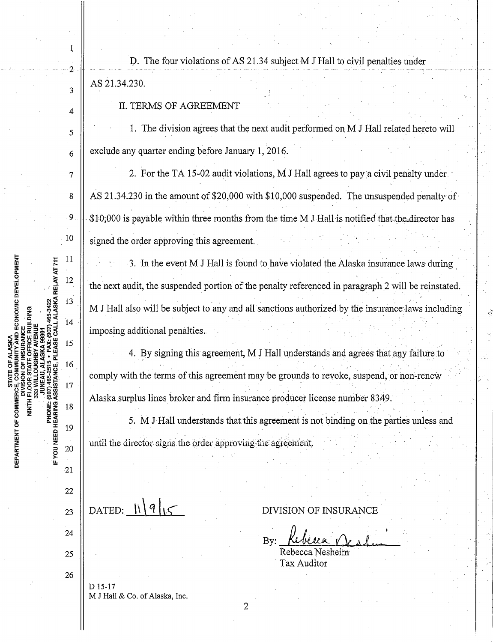$\begin{array}{c|c|c|c|c|c} & D. \end{array}$  The four violations of AS 21.34 subject M J Hall to civil penalties under . AS 21.34.230.

 $\parallel$  II. TERMS OF AGREEMENT

1

3

10

 $11\,$ 

 $13$ 

14

15

16

17

18

19

20

 $21$ 

PHONE: (907) 465-251<br>IF YOU NEED HEARING ASSISTANCE,

**ISKA RELAY AT 711** 12

ILASKA<br>IITY AND ECONOMIC DEVELOPMENT<br>ISURANCE

DEPARTMENT OF COMMERC

NINTH FLO

 $\begin{array}{c|c|c|c} 5 & . & . & . \end{array}$  The division agrees that the next audit performed on M J Hall related hereto will  $\begin{array}{c|c|c|c} \hline 6 & \infty \end{array}$  exclude any quarter ending before January 1, 2016.

 $7 \parallel$  2. For the TA 15-02 audit violations, M J Hall agrees to pay a civil penalty under . The contract of the contract of the contract of the contract of the contract of the contract of the contract of the contract of the contract of the contract of the contract of the contract of the contract of the contrac 8  $\parallel$  AS 21.34.230 in the amount of \$20,000 with \$10,000 suspended. The unsuspended penalty of · 9 · ,.,\$ W;OOO is payable within tr..ree months from the time M .T Hall is notified thatthe"dire.ctor has signed the order approving this agreement.

3. In the event M J Hall is found to have violated the Alaska insurance laws during the next audit, the suspended portion of the penalty referenced in paragraph 2 will be reinstated. M J Hall also will be subject to any and all sanctions authorized by the insurance laws including imposing additional penalties.

4. By signing this agreement, M J Hall understands and agrees that any failure to comply with the terms of this agreement may be grounds to revoke, suspend, or non-renew Alaska surplus lines broker and firm insurance producer license number 8349.

5. M J Hall understands that this agreement is not binding on the parties unless and until the director signs the order approving the agreement.

22 23 24 25 26 DATED:  $\|\cdot\|$ *q* $\|\cdot\|$ D 15-17

M J Hall & Co. of Alaska, Inc.

DIVISION OF INSURANCE

. .

 $B$ y: Rebecca  $N_{c,kl...}$ 

Rebecca Nesheim Tax Auditor

2